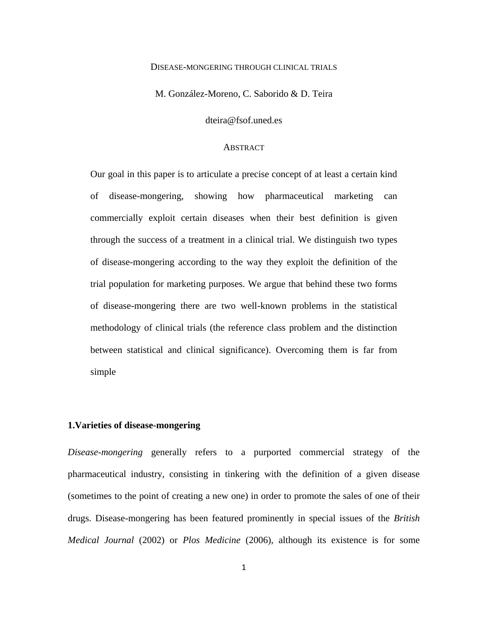#### DISEASE-MONGERING THROUGH CLINICAL TRIALS

M. González-Moreno, C. Saborido & D. Teira

dteira@fsof.uned.es

#### **ABSTRACT**

Our goal in this paper is to articulate a precise concept of at least a certain kind of disease-mongering, showing how pharmaceutical marketing can commercially exploit certain diseases when their best definition is given through the success of a treatment in a clinical trial. We distinguish two types of disease-mongering according to the way they exploit the definition of the trial population for marketing purposes. We argue that behind these two forms of disease-mongering there are two well-known problems in the statistical methodology of clinical trials (the reference class problem and the distinction between statistical and clinical significance). Overcoming them is far from simple

# **1.Varieties of disease-mongering**

*Disease-mongering* generally refers to a purported commercial strategy of the pharmaceutical industry, consisting in tinkering with the definition of a given disease (sometimes to the point of creating a new one) in order to promote the sales of one of their drugs. Disease-mongering has been featured prominently in special issues of the *British Medical Journal* (2002) or *Plos Medicine* (2006), although its existence is for some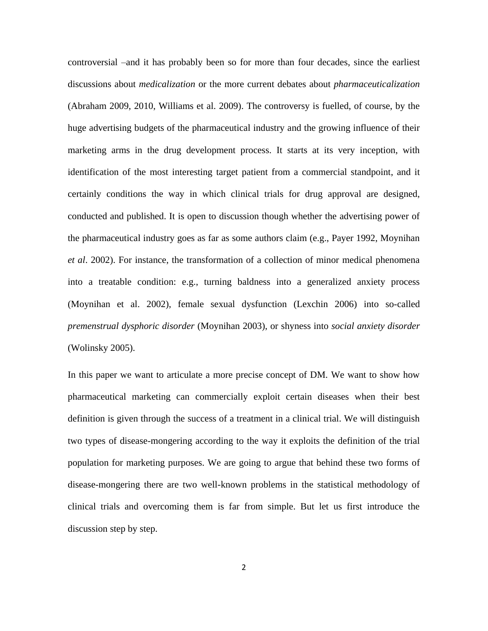controversial –and it has probably been so for more than four decades, since the earliest discussions about *medicalization* or the more current debates about *pharmaceuticalization*  (Abraham 2009, 2010, Williams et al. 2009). The controversy is fuelled, of course, by the huge advertising budgets of the pharmaceutical industry and the growing influence of their marketing arms in the drug development process. It starts at its very inception, with identification of the most interesting target patient from a commercial standpoint, and it certainly conditions the way in which clinical trials for drug approval are designed, conducted and published. It is open to discussion though whether the advertising power of the pharmaceutical industry goes as far as some authors claim (e.g., Payer 1992, Moynihan *et al*. 2002). For instance, the transformation of a collection of minor medical phenomena into a treatable condition: e.g., turning baldness into a generalized anxiety process (Moynihan et al. 2002), female sexual dysfunction (Lexchin 2006) into so-called *premenstrual dysphoric disorder* (Moynihan 2003), or shyness into *social anxiety disorder* (Wolinsky 2005).

In this paper we want to articulate a more precise concept of DM. We want to show how pharmaceutical marketing can commercially exploit certain diseases when their best definition is given through the success of a treatment in a clinical trial. We will distinguish two types of disease-mongering according to the way it exploits the definition of the trial population for marketing purposes. We are going to argue that behind these two forms of disease-mongering there are two well-known problems in the statistical methodology of clinical trials and overcoming them is far from simple. But let us first introduce the discussion step by step.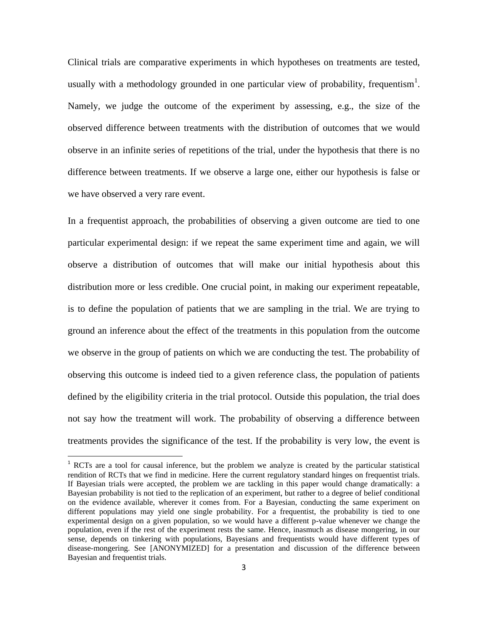Clinical trials are comparative experiments in which hypotheses on treatments are tested, usually with a methodology grounded in one particular view of probability, frequentism<sup>1</sup>. Namely, we judge the outcome of the experiment by assessing, e.g., the size of the observed difference between treatments with the distribution of outcomes that we would observe in an infinite series of repetitions of the trial, under the hypothesis that there is no difference between treatments. If we observe a large one, either our hypothesis is false or we have observed a very rare event.

In a frequentist approach, the probabilities of observing a given outcome are tied to one particular experimental design: if we repeat the same experiment time and again, we will observe a distribution of outcomes that will make our initial hypothesis about this distribution more or less credible. One crucial point, in making our experiment repeatable, is to define the population of patients that we are sampling in the trial. We are trying to ground an inference about the effect of the treatments in this population from the outcome we observe in the group of patients on which we are conducting the test. The probability of observing this outcome is indeed tied to a given reference class, the population of patients defined by the eligibility criteria in the trial protocol. Outside this population, the trial does not say how the treatment will work. The probability of observing a difference between treatments provides the significance of the test. If the probability is very low, the event is

<sup>&</sup>lt;sup>1</sup> RCTs are a tool for causal inference, but the problem we analyze is created by the particular statistical rendition of RCTs that we find in medicine. Here the current regulatory standard hinges on frequentist trials. If Bayesian trials were accepted, the problem we are tackling in this paper would change dramatically: a Bayesian probability is not tied to the replication of an experiment, but rather to a degree of belief conditional on the evidence available, wherever it comes from. For a Bayesian, conducting the same experiment on different populations may yield one single probability. For a frequentist, the probability is tied to one experimental design on a given population, so we would have a different p-value whenever we change the population, even if the rest of the experiment rests the same. Hence, inasmuch as disease mongering, in our sense, depends on tinkering with populations, Bayesians and frequentists would have different types of disease-mongering. See [ANONYMIZED] for a presentation and discussion of the difference between Bayesian and frequentist trials.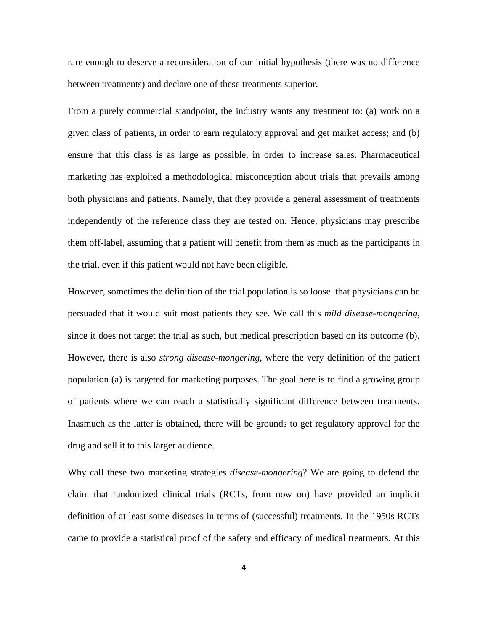rare enough to deserve a reconsideration of our initial hypothesis (there was no difference between treatments) and declare one of these treatments superior.

From a purely commercial standpoint, the industry wants any treatment to: (a) work on a given class of patients, in order to earn regulatory approval and get market access; and (b) ensure that this class is as large as possible, in order to increase sales. Pharmaceutical marketing has exploited a methodological misconception about trials that prevails among both physicians and patients. Namely, that they provide a general assessment of treatments independently of the reference class they are tested on. Hence, physicians may prescribe them off-label, assuming that a patient will benefit from them as much as the participants in the trial, even if this patient would not have been eligible.

However, sometimes the definition of the trial population is so loose that physicians can be persuaded that it would suit most patients they see. We call this *mild disease-mongering*, since it does not target the trial as such, but medical prescription based on its outcome (b). However, there is also *strong disease-mongering,* where the very definition of the patient population (a) is targeted for marketing purposes. The goal here is to find a growing group of patients where we can reach a statistically significant difference between treatments. Inasmuch as the latter is obtained, there will be grounds to get regulatory approval for the drug and sell it to this larger audience.

Why call these two marketing strategies *disease-mongering*? We are going to defend the claim that randomized clinical trials (RCTs, from now on) have provided an implicit definition of at least some diseases in terms of (successful) treatments. In the 1950s RCTs came to provide a statistical proof of the safety and efficacy of medical treatments. At this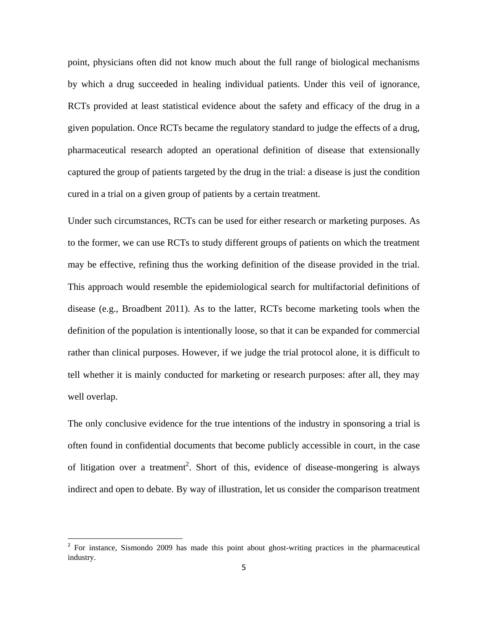point, physicians often did not know much about the full range of biological mechanisms by which a drug succeeded in healing individual patients. Under this veil of ignorance, RCTs provided at least statistical evidence about the safety and efficacy of the drug in a given population. Once RCTs became the regulatory standard to judge the effects of a drug, pharmaceutical research adopted an operational definition of disease that extensionally captured the group of patients targeted by the drug in the trial: a disease is just the condition cured in a trial on a given group of patients by a certain treatment.

Under such circumstances, RCTs can be used for either research or marketing purposes. As to the former, we can use RCTs to study different groups of patients on which the treatment may be effective, refining thus the working definition of the disease provided in the trial. This approach would resemble the epidemiological search for multifactorial definitions of disease (e.g., Broadbent 2011). As to the latter, RCTs become marketing tools when the definition of the population is intentionally loose, so that it can be expanded for commercial rather than clinical purposes. However, if we judge the trial protocol alone, it is difficult to tell whether it is mainly conducted for marketing or research purposes: after all, they may well overlap.

The only conclusive evidence for the true intentions of the industry in sponsoring a trial is often found in confidential documents that become publicly accessible in court, in the case of litigation over a treatment<sup>2</sup>. Short of this, evidence of disease-mongering is always indirect and open to debate. By way of illustration, let us consider the comparison treatment

 $2^2$  For instance, Sismondo 2009 has made this point about ghost-writing practices in the pharmaceutical industry.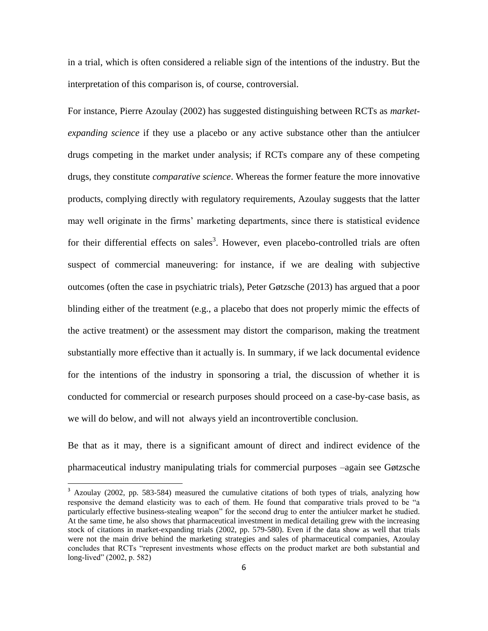in a trial, which is often considered a reliable sign of the intentions of the industry. But the interpretation of this comparison is, of course, controversial.

For instance, Pierre Azoulay (2002) has suggested distinguishing between RCTs as *marketexpanding science* if they use a placebo or any active substance other than the antiulcer drugs competing in the market under analysis; if RCTs compare any of these competing drugs, they constitute *comparative science*. Whereas the former feature the more innovative products, complying directly with regulatory requirements, Azoulay suggests that the latter may well originate in the firms' marketing departments, since there is statistical evidence for their differential effects on sales<sup>3</sup>. However, even placebo-controlled trials are often suspect of commercial maneuvering: for instance, if we are dealing with subjective outcomes (often the case in psychiatric trials), Peter Gøtzsche (2013) has argued that a poor blinding either of the treatment (e.g., a placebo that does not properly mimic the effects of the active treatment) or the assessment may distort the comparison, making the treatment substantially more effective than it actually is. In summary, if we lack documental evidence for the intentions of the industry in sponsoring a trial, the discussion of whether it is conducted for commercial or research purposes should proceed on a case-by-case basis, as we will do below, and will not always yield an incontrovertible conclusion.

Be that as it may, there is a significant amount of direct and indirect evidence of the pharmaceutical industry manipulating trials for commercial purposes –again see Gøtzsche

<sup>&</sup>lt;sup>3</sup> Azoulay (2002, pp. 583-584) measured the cumulative citations of both types of trials, analyzing how responsive the demand elasticity was to each of them. He found that comparative trials proved to be "a particularly effective business-stealing weapon" for the second drug to enter the antiulcer market he studied. At the same time, he also shows that pharmaceutical investment in medical detailing grew with the increasing stock of citations in market-expanding trials (2002, pp. 579-580). Even if the data show as well that trials were not the main drive behind the marketing strategies and sales of pharmaceutical companies, Azoulay concludes that RCTs "represent investments whose effects on the product market are both substantial and long-lived" (2002, p. 582)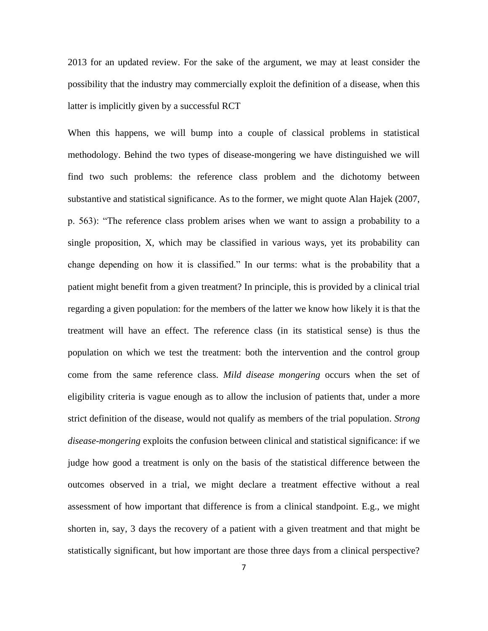2013 for an updated review. For the sake of the argument, we may at least consider the possibility that the industry may commercially exploit the definition of a disease, when this latter is implicitly given by a successful RCT

When this happens, we will bump into a couple of classical problems in statistical methodology. Behind the two types of disease-mongering we have distinguished we will find two such problems: the reference class problem and the dichotomy between substantive and statistical significance. As to the former, we might quote Alan Hajek (2007, p. 563): "The reference class problem arises when we want to assign a probability to a single proposition, X, which may be classified in various ways, yet its probability can change depending on how it is classified." In our terms: what is the probability that a patient might benefit from a given treatment? In principle, this is provided by a clinical trial regarding a given population: for the members of the latter we know how likely it is that the treatment will have an effect. The reference class (in its statistical sense) is thus the population on which we test the treatment: both the intervention and the control group come from the same reference class. *Mild disease mongering* occurs when the set of eligibility criteria is vague enough as to allow the inclusion of patients that, under a more strict definition of the disease, would not qualify as members of the trial population. *Strong disease-mongering* exploits the confusion between clinical and statistical significance: if we judge how good a treatment is only on the basis of the statistical difference between the outcomes observed in a trial, we might declare a treatment effective without a real assessment of how important that difference is from a clinical standpoint. E.g., we might shorten in, say, 3 days the recovery of a patient with a given treatment and that might be statistically significant, but how important are those three days from a clinical perspective?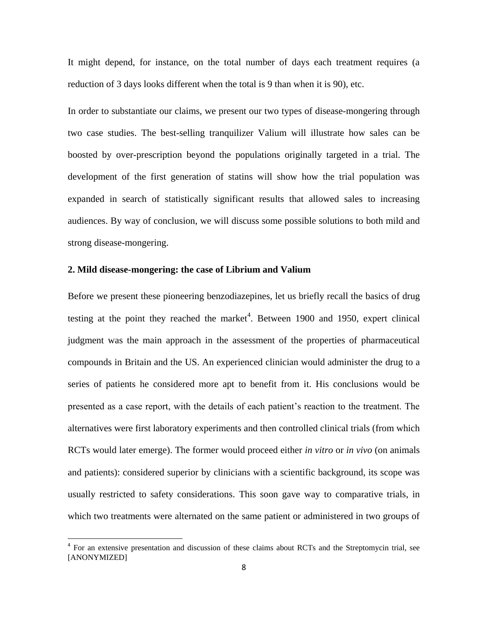It might depend, for instance, on the total number of days each treatment requires (a reduction of 3 days looks different when the total is 9 than when it is 90), etc.

In order to substantiate our claims, we present our two types of disease-mongering through two case studies. The best-selling tranquilizer Valium will illustrate how sales can be boosted by over-prescription beyond the populations originally targeted in a trial. The development of the first generation of statins will show how the trial population was expanded in search of statistically significant results that allowed sales to increasing audiences. By way of conclusion, we will discuss some possible solutions to both mild and strong disease-mongering.

## **2. Mild disease-mongering: the case of Librium and Valium**

 $\overline{a}$ 

Before we present these pioneering benzodiazepines, let us briefly recall the basics of drug testing at the point they reached the market<sup>4</sup>. Between 1900 and 1950, expert clinical judgment was the main approach in the assessment of the properties of pharmaceutical compounds in Britain and the US. An experienced clinician would administer the drug to a series of patients he considered more apt to benefit from it. His conclusions would be presented as a case report, with the details of each patient's reaction to the treatment. The alternatives were first laboratory experiments and then controlled clinical trials (from which RCTs would later emerge). The former would proceed either *in vitro* or *in vivo* (on animals and patients): considered superior by clinicians with a scientific background, its scope was usually restricted to safety considerations. This soon gave way to comparative trials, in which two treatments were alternated on the same patient or administered in two groups of

<sup>&</sup>lt;sup>4</sup> For an extensive presentation and discussion of these claims about RCTs and the Streptomycin trial, see [ANONYMIZED]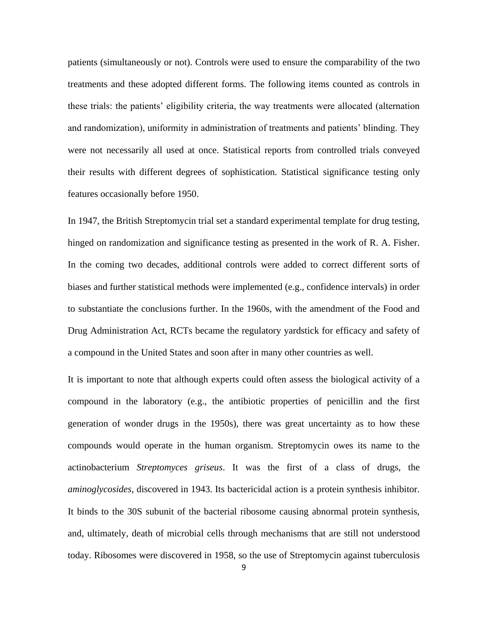patients (simultaneously or not). Controls were used to ensure the comparability of the two treatments and these adopted different forms. The following items counted as controls in these trials: the patients' eligibility criteria, the way treatments were allocated (alternation and randomization), uniformity in administration of treatments and patients' blinding. They were not necessarily all used at once. Statistical reports from controlled trials conveyed their results with different degrees of sophistication. Statistical significance testing only features occasionally before 1950.

In 1947, the British Streptomycin trial set a standard experimental template for drug testing, hinged on randomization and significance testing as presented in the work of R. A. Fisher. In the coming two decades, additional controls were added to correct different sorts of biases and further statistical methods were implemented (e.g., confidence intervals) in order to substantiate the conclusions further. In the 1960s, with the amendment of the Food and Drug Administration Act, RCTs became the regulatory yardstick for efficacy and safety of a compound in the United States and soon after in many other countries as well.

It is important to note that although experts could often assess the biological activity of a compound in the laboratory (e.g., the antibiotic properties of penicillin and the first generation of wonder drugs in the 1950s), there was great uncertainty as to how these compounds would operate in the human organism. Streptomycin owes its name to the actinobacterium *Streptomyces griseus*. It was the first of a class of drugs, the *aminoglycosides*, discovered in 1943. Its bactericidal action is a protein synthesis inhibitor. It binds to the 30S subunit of the bacterial ribosome causing abnormal protein synthesis, and, ultimately, death of microbial cells through mechanisms that are still not understood today. Ribosomes were discovered in 1958, so the use of Streptomycin against tuberculosis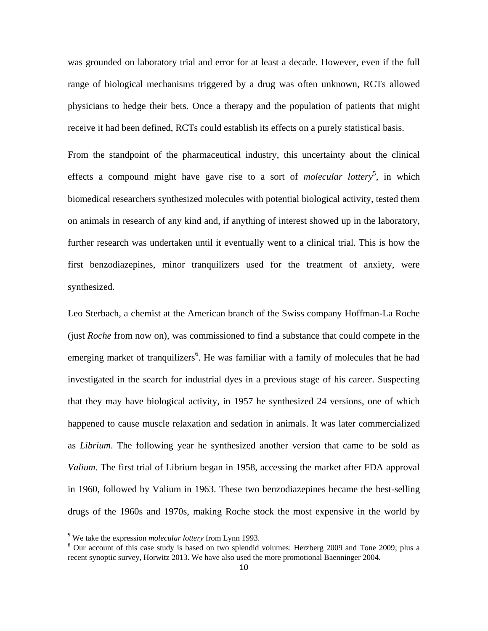was grounded on laboratory trial and error for at least a decade. However, even if the full range of biological mechanisms triggered by a drug was often unknown, RCTs allowed physicians to hedge their bets. Once a therapy and the population of patients that might receive it had been defined, RCTs could establish its effects on a purely statistical basis.

From the standpoint of the pharmaceutical industry, this uncertainty about the clinical effects a compound might have gave rise to a sort of *molecular lottery*<sup>5</sup>, in which biomedical researchers synthesized molecules with potential biological activity, tested them on animals in research of any kind and, if anything of interest showed up in the laboratory, further research was undertaken until it eventually went to a clinical trial. This is how the first benzodiazepines, minor tranquilizers used for the treatment of anxiety, were synthesized.

Leo Sterbach, a chemist at the American branch of the Swiss company Hoffman-La Roche (just *Roche* from now on), was commissioned to find a substance that could compete in the emerging market of tranquilizers<sup>6</sup>. He was familiar with a family of molecules that he had investigated in the search for industrial dyes in a previous stage of his career. Suspecting that they may have biological activity, in 1957 he synthesized 24 versions, one of which happened to cause muscle relaxation and sedation in animals. It was later commercialized as *Librium*. The following year he synthesized another version that came to be sold as *Valium*. The first trial of Librium began in 1958, accessing the market after FDA approval in 1960, followed by Valium in 1963. These two benzodiazepines became the best-selling drugs of the 1960s and 1970s, making Roche stock the most expensive in the world by

<sup>5</sup> We take the expression *molecular lottery* from Lynn 1993.

<sup>&</sup>lt;sup>6</sup> Our account of this case study is based on two splendid volumes: Herzberg 2009 and Tone 2009; plus a recent synoptic survey, Horwitz 2013. We have also used the more promotional Baenninger 2004.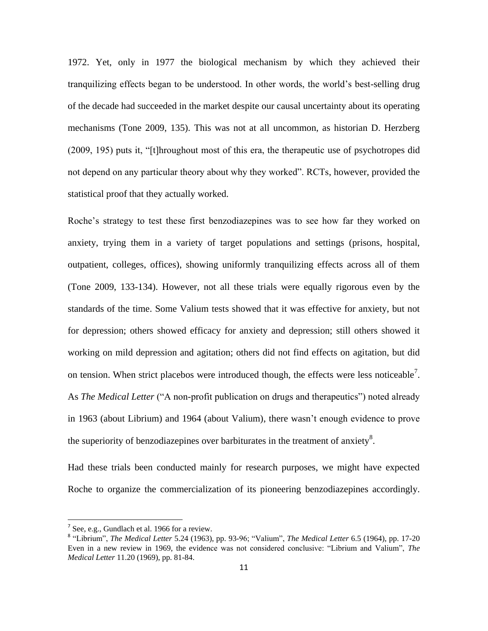1972. Yet, only in 1977 the biological mechanism by which they achieved their tranquilizing effects began to be understood. In other words, the world's best-selling drug of the decade had succeeded in the market despite our causal uncertainty about its operating mechanisms (Tone 2009, 135). This was not at all uncommon, as historian D. Herzberg (2009, 195) puts it, "[t]hroughout most of this era, the therapeutic use of psychotropes did not depend on any particular theory about why they worked". RCTs, however, provided the statistical proof that they actually worked.

Roche's strategy to test these first benzodiazepines was to see how far they worked on anxiety, trying them in a variety of target populations and settings (prisons, hospital, outpatient, colleges, offices), showing uniformly tranquilizing effects across all of them (Tone 2009, 133-134). However, not all these trials were equally rigorous even by the standards of the time. Some Valium tests showed that it was effective for anxiety, but not for depression; others showed efficacy for anxiety and depression; still others showed it working on mild depression and agitation; others did not find effects on agitation, but did on tension. When strict placebos were introduced though, the effects were less noticeable<sup>7</sup>. As *The Medical Letter* ("A non-profit publication on drugs and therapeutics") noted already in 1963 (about Librium) and 1964 (about Valium), there wasn't enough evidence to prove the superiority of benzodiazepines over barbiturates in the treatment of anxiety<sup>8</sup>.

Had these trials been conducted mainly for research purposes, we might have expected Roche to organize the commercialization of its pioneering benzodiazepines accordingly.

 $<sup>7</sup>$  See, e.g., Gundlach et al. 1966 for a review.</sup>

<sup>8</sup> "Librium", *The Medical Letter* 5.24 (1963), pp. 93-96; "Valium", *The Medical Letter* 6.5 (1964), pp. 17-20 Even in a new review in 1969, the evidence was not considered conclusive: "Librium and Valium", *The Medical Letter* 11.20 (1969), pp. 81-84.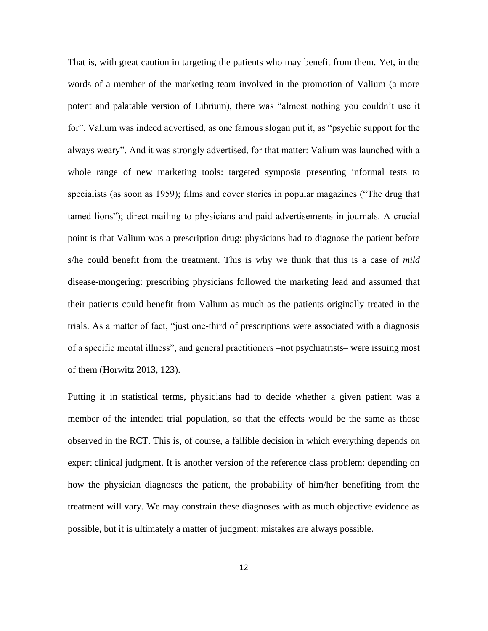That is, with great caution in targeting the patients who may benefit from them. Yet, in the words of a member of the marketing team involved in the promotion of Valium (a more potent and palatable version of Librium), there was "almost nothing you couldn't use it for". Valium was indeed advertised, as one famous slogan put it, as "psychic support for the always weary". And it was strongly advertised, for that matter: Valium was launched with a whole range of new marketing tools: targeted symposia presenting informal tests to specialists (as soon as 1959); films and cover stories in popular magazines ("The drug that tamed lions"); direct mailing to physicians and paid advertisements in journals. A crucial point is that Valium was a prescription drug: physicians had to diagnose the patient before s/he could benefit from the treatment. This is why we think that this is a case of *mild* disease-mongering: prescribing physicians followed the marketing lead and assumed that their patients could benefit from Valium as much as the patients originally treated in the trials. As a matter of fact, "just one-third of prescriptions were associated with a diagnosis of a specific mental illness", and general practitioners –not psychiatrists– were issuing most of them (Horwitz 2013, 123).

Putting it in statistical terms, physicians had to decide whether a given patient was a member of the intended trial population, so that the effects would be the same as those observed in the RCT. This is, of course, a fallible decision in which everything depends on expert clinical judgment. It is another version of the reference class problem: depending on how the physician diagnoses the patient, the probability of him/her benefiting from the treatment will vary. We may constrain these diagnoses with as much objective evidence as possible, but it is ultimately a matter of judgment: mistakes are always possible.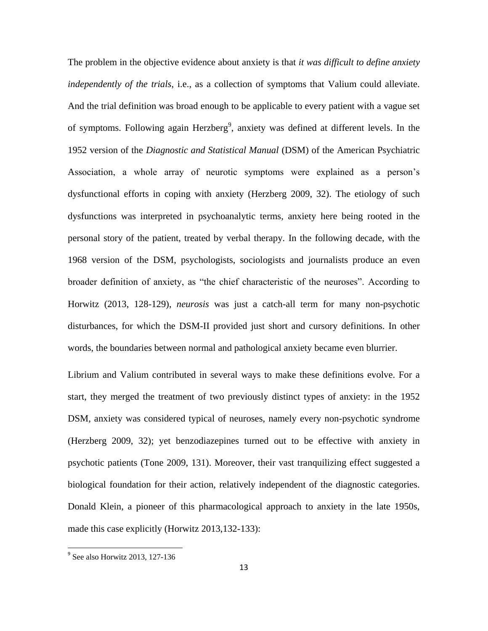The problem in the objective evidence about anxiety is that *it was difficult to define anxiety independently of the trials*, i.e., as a collection of symptoms that Valium could alleviate. And the trial definition was broad enough to be applicable to every patient with a vague set of symptoms. Following again Herzberg<sup>9</sup>, anxiety was defined at different levels. In the 1952 version of the *Diagnostic and Statistical Manual* (DSM) of the American Psychiatric Association, a whole array of neurotic symptoms were explained as a person's dysfunctional efforts in coping with anxiety (Herzberg 2009, 32). The etiology of such dysfunctions was interpreted in psychoanalytic terms, anxiety here being rooted in the personal story of the patient, treated by verbal therapy. In the following decade, with the 1968 version of the DSM, psychologists, sociologists and journalists produce an even broader definition of anxiety, as "the chief characteristic of the neuroses". According to Horwitz (2013, 128-129), *neurosis* was just a catch-all term for many non-psychotic disturbances, for which the DSM-II provided just short and cursory definitions. In other words, the boundaries between normal and pathological anxiety became even blurrier.

Librium and Valium contributed in several ways to make these definitions evolve. For a start, they merged the treatment of two previously distinct types of anxiety: in the 1952 DSM, anxiety was considered typical of neuroses, namely every non-psychotic syndrome (Herzberg 2009, 32); yet benzodiazepines turned out to be effective with anxiety in psychotic patients (Tone 2009, 131). Moreover, their vast tranquilizing effect suggested a biological foundation for their action, relatively independent of the diagnostic categories. Donald Klein, a pioneer of this pharmacological approach to anxiety in the late 1950s, made this case explicitly (Horwitz 2013,132-133):

<sup>&</sup>lt;sup>9</sup> See also Horwitz 2013, 127-136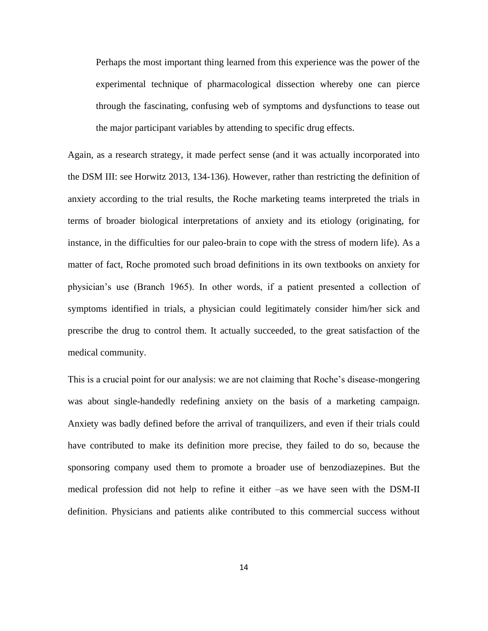Perhaps the most important thing learned from this experience was the power of the experimental technique of pharmacological dissection whereby one can pierce through the fascinating, confusing web of symptoms and dysfunctions to tease out the major participant variables by attending to specific drug effects.

Again, as a research strategy, it made perfect sense (and it was actually incorporated into the DSM III: see Horwitz 2013, 134-136). However, rather than restricting the definition of anxiety according to the trial results, the Roche marketing teams interpreted the trials in terms of broader biological interpretations of anxiety and its etiology (originating, for instance, in the difficulties for our paleo-brain to cope with the stress of modern life). As a matter of fact, Roche promoted such broad definitions in its own textbooks on anxiety for physician's use (Branch 1965). In other words, if a patient presented a collection of symptoms identified in trials, a physician could legitimately consider him/her sick and prescribe the drug to control them. It actually succeeded, to the great satisfaction of the medical community.

This is a crucial point for our analysis: we are not claiming that Roche's disease-mongering was about single-handedly redefining anxiety on the basis of a marketing campaign. Anxiety was badly defined before the arrival of tranquilizers, and even if their trials could have contributed to make its definition more precise, they failed to do so, because the sponsoring company used them to promote a broader use of benzodiazepines. But the medical profession did not help to refine it either –as we have seen with the DSM-II definition. Physicians and patients alike contributed to this commercial success without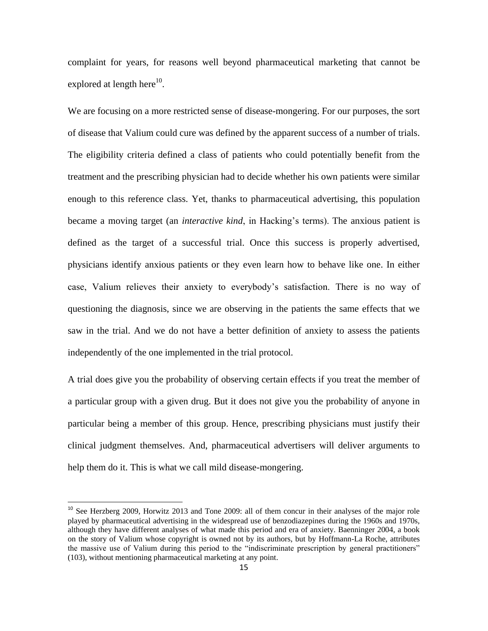complaint for years, for reasons well beyond pharmaceutical marketing that cannot be explored at length here $^{10}$ .

We are focusing on a more restricted sense of disease-mongering. For our purposes, the sort of disease that Valium could cure was defined by the apparent success of a number of trials. The eligibility criteria defined a class of patients who could potentially benefit from the treatment and the prescribing physician had to decide whether his own patients were similar enough to this reference class. Yet, thanks to pharmaceutical advertising, this population became a moving target (an *interactive kind*, in Hacking's terms). The anxious patient is defined as the target of a successful trial. Once this success is properly advertised, physicians identify anxious patients or they even learn how to behave like one. In either case, Valium relieves their anxiety to everybody's satisfaction. There is no way of questioning the diagnosis, since we are observing in the patients the same effects that we saw in the trial. And we do not have a better definition of anxiety to assess the patients independently of the one implemented in the trial protocol.

A trial does give you the probability of observing certain effects if you treat the member of a particular group with a given drug. But it does not give you the probability of anyone in particular being a member of this group. Hence, prescribing physicians must justify their clinical judgment themselves. And, pharmaceutical advertisers will deliver arguments to help them do it. This is what we call mild disease-mongering.

<sup>&</sup>lt;sup>10</sup> See Herzberg 2009, Horwitz 2013 and Tone 2009: all of them concur in their analyses of the major role played by pharmaceutical advertising in the widespread use of benzodiazepines during the 1960s and 1970s, although they have different analyses of what made this period and era of anxiety. Baenninger 2004, a book on the story of Valium whose copyright is owned not by its authors, but by Hoffmann-La Roche, attributes the massive use of Valium during this period to the "indiscriminate prescription by general practitioners" (103), without mentioning pharmaceutical marketing at any point.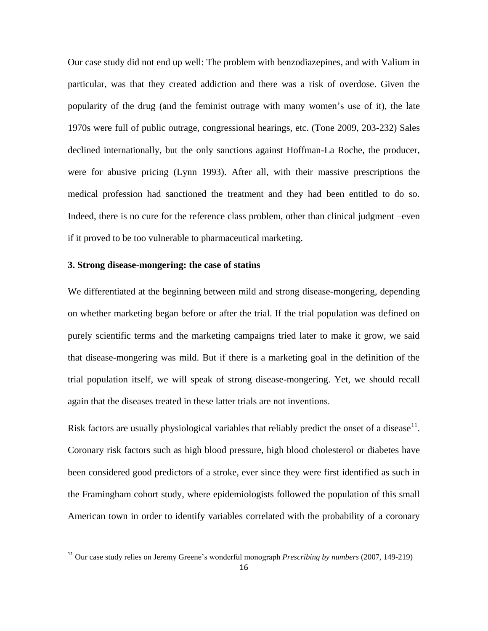Our case study did not end up well: The problem with benzodiazepines, and with Valium in particular, was that they created addiction and there was a risk of overdose. Given the popularity of the drug (and the feminist outrage with many women's use of it), the late 1970s were full of public outrage, congressional hearings, etc. (Tone 2009, 203-232) Sales declined internationally, but the only sanctions against Hoffman-La Roche, the producer, were for abusive pricing (Lynn 1993). After all, with their massive prescriptions the medical profession had sanctioned the treatment and they had been entitled to do so. Indeed, there is no cure for the reference class problem, other than clinical judgment –even if it proved to be too vulnerable to pharmaceutical marketing.

## **3. Strong disease-mongering: the case of statins**

 $\overline{a}$ 

We differentiated at the beginning between mild and strong disease-mongering, depending on whether marketing began before or after the trial. If the trial population was defined on purely scientific terms and the marketing campaigns tried later to make it grow, we said that disease-mongering was mild. But if there is a marketing goal in the definition of the trial population itself, we will speak of strong disease-mongering. Yet, we should recall again that the diseases treated in these latter trials are not inventions.

Risk factors are usually physiological variables that reliably predict the onset of a disease $^{11}$ . Coronary risk factors such as high blood pressure, high blood cholesterol or diabetes have been considered good predictors of a stroke, ever since they were first identified as such in the Framingham cohort study, where epidemiologists followed the population of this small American town in order to identify variables correlated with the probability of a coronary

<sup>11</sup> Our case study relies on Jeremy Greene's wonderful monograph *Prescribing by numbers* (2007, 149-219)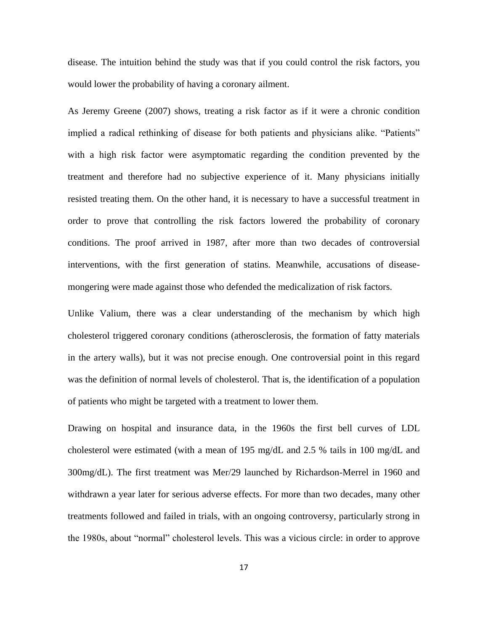disease. The intuition behind the study was that if you could control the risk factors, you would lower the probability of having a coronary ailment.

As Jeremy Greene (2007) shows, treating a risk factor as if it were a chronic condition implied a radical rethinking of disease for both patients and physicians alike. "Patients" with a high risk factor were asymptomatic regarding the condition prevented by the treatment and therefore had no subjective experience of it. Many physicians initially resisted treating them. On the other hand, it is necessary to have a successful treatment in order to prove that controlling the risk factors lowered the probability of coronary conditions. The proof arrived in 1987, after more than two decades of controversial interventions, with the first generation of statins. Meanwhile, accusations of diseasemongering were made against those who defended the medicalization of risk factors.

Unlike Valium, there was a clear understanding of the mechanism by which high cholesterol triggered coronary conditions (atherosclerosis, the formation of fatty materials in the artery walls), but it was not precise enough. One controversial point in this regard was the definition of normal levels of cholesterol. That is, the identification of a population of patients who might be targeted with a treatment to lower them.

Drawing on hospital and insurance data, in the 1960s the first bell curves of LDL cholesterol were estimated (with a mean of 195 mg/dL and 2.5 % tails in 100 mg/dL and 300mg/dL). The first treatment was Mer/29 launched by Richardson-Merrel in 1960 and withdrawn a year later for serious adverse effects. For more than two decades, many other treatments followed and failed in trials, with an ongoing controversy, particularly strong in the 1980s, about "normal" cholesterol levels. This was a vicious circle: in order to approve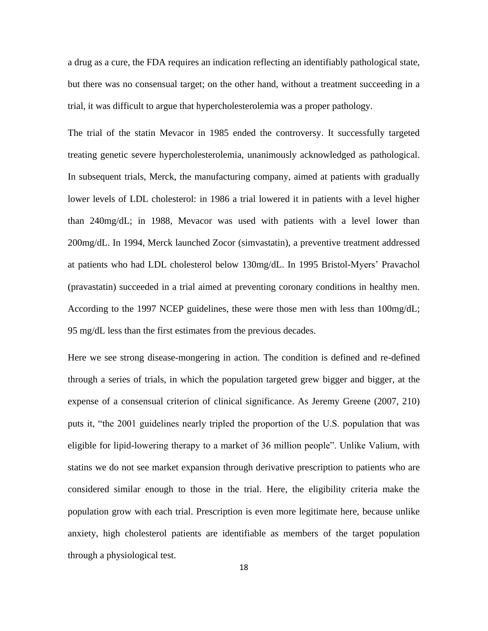a drug as a cure, the FDA requires an indication reflecting an identifiably pathological state, but there was no consensual target; on the other hand, without a treatment succeeding in a trial, it was difficult to argue that hypercholesterolemia was a proper pathology.

The trial of the statin Mevacor in 1985 ended the controversy. It successfully targeted treating genetic severe hypercholesterolemia, unanimously acknowledged as pathological. In subsequent trials, Merck, the manufacturing company, aimed at patients with gradually lower levels of LDL cholesterol: in 1986 a trial lowered it in patients with a level higher than 240mg/dL; in 1988, Mevacor was used with patients with a level lower than 200mg/dL. In 1994, Merck launched Zocor (simvastatin), a preventive treatment addressed at patients who had LDL cholesterol below 130mg/dL. In 1995 Bristol-Myers' Pravachol (pravastatin) succeeded in a trial aimed at preventing coronary conditions in healthy men. According to the 1997 NCEP guidelines, these were those men with less than 100mg/dL; 95 mg/dL less than the first estimates from the previous decades.

Here we see strong disease-mongering in action. The condition is defined and re-defined through a series of trials, in which the population targeted grew bigger and bigger, at the expense of a consensual criterion of clinical significance. As Jeremy Greene (2007, 210) puts it, "the 2001 guidelines nearly tripled the proportion of the U.S. population that was eligible for lipid-lowering therapy to a market of 36 million people". Unlike Valium, with statins we do not see market expansion through derivative prescription to patients who are considered similar enough to those in the trial. Here, the eligibility criteria make the population grow with each trial. Prescription is even more legitimate here, because unlike anxiety, high cholesterol patients are identifiable as members of the target population through a physiological test.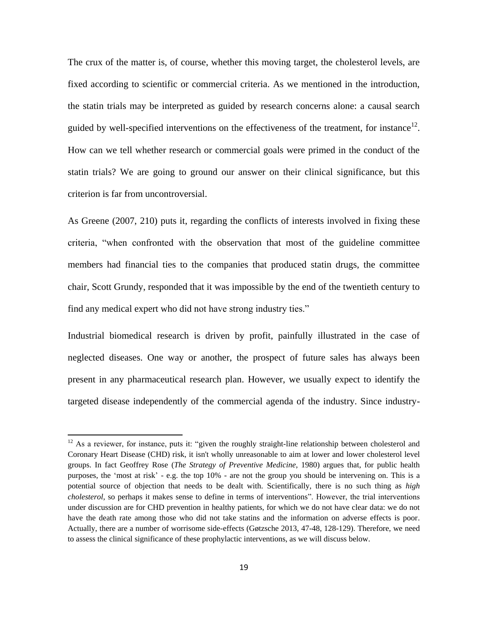The crux of the matter is, of course, whether this moving target, the cholesterol levels, are fixed according to scientific or commercial criteria. As we mentioned in the introduction, the statin trials may be interpreted as guided by research concerns alone: a causal search guided by well-specified interventions on the effectiveness of the treatment, for instance<sup>12</sup>. How can we tell whether research or commercial goals were primed in the conduct of the statin trials? We are going to ground our answer on their clinical significance, but this criterion is far from uncontroversial.

As Greene (2007, 210) puts it, regarding the conflicts of interests involved in fixing these criteria, "when confronted with the observation that most of the guideline committee members had financial ties to the companies that produced statin drugs, the committee chair, Scott Grundy, responded that it was impossible by the end of the twentieth century to find any medical expert who did not have strong industry ties."

Industrial biomedical research is driven by profit, painfully illustrated in the case of neglected diseases. One way or another, the prospect of future sales has always been present in any pharmaceutical research plan. However, we usually expect to identify the targeted disease independently of the commercial agenda of the industry. Since industry-

 $12$  As a reviewer, for instance, puts it: "given the roughly straight-line relationship between cholesterol and Coronary Heart Disease (CHD) risk, it isn't wholly unreasonable to aim at lower and lower cholesterol level groups. In fact Geoffrey Rose (*The Strategy of Preventive Medicine*, 1980) argues that, for public health purposes, the 'most at risk' - e.g. the top 10% - are not the group you should be intervening on. This is a potential source of objection that needs to be dealt with. Scientifically, there is no such thing as *high cholesterol*, so perhaps it makes sense to define in terms of interventions". However, the trial interventions under discussion are for CHD prevention in healthy patients, for which we do not have clear data: we do not have the death rate among those who did not take statins and the information on adverse effects is poor. Actually, there are a number of worrisome side-effects (Gøtzsche 2013, 47-48, 128-129). Therefore, we need to assess the clinical significance of these prophylactic interventions, as we will discuss below.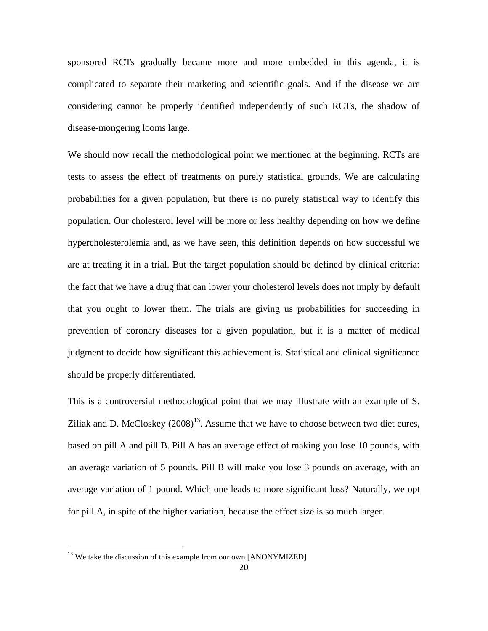sponsored RCTs gradually became more and more embedded in this agenda, it is complicated to separate their marketing and scientific goals. And if the disease we are considering cannot be properly identified independently of such RCTs, the shadow of disease-mongering looms large.

We should now recall the methodological point we mentioned at the beginning. RCTs are tests to assess the effect of treatments on purely statistical grounds. We are calculating probabilities for a given population, but there is no purely statistical way to identify this population. Our cholesterol level will be more or less healthy depending on how we define hypercholesterolemia and, as we have seen, this definition depends on how successful we are at treating it in a trial. But the target population should be defined by clinical criteria: the fact that we have a drug that can lower your cholesterol levels does not imply by default that you ought to lower them. The trials are giving us probabilities for succeeding in prevention of coronary diseases for a given population, but it is a matter of medical judgment to decide how significant this achievement is. Statistical and clinical significance should be properly differentiated.

This is a controversial methodological point that we may illustrate with an example of S. Ziliak and D. McCloskey  $(2008)^{13}$ . Assume that we have to choose between two diet cures, based on pill A and pill B. Pill A has an average effect of making you lose 10 pounds, with an average variation of 5 pounds. Pill B will make you lose 3 pounds on average, with an average variation of 1 pound. Which one leads to more significant loss? Naturally, we opt for pill A, in spite of the higher variation, because the effect size is so much larger.

<sup>&</sup>lt;sup>13</sup> We take the discussion of this example from our own [ANONYMIZED]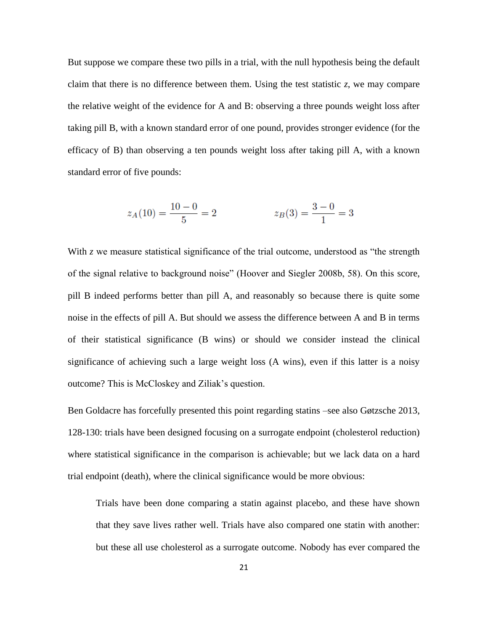But suppose we compare these two pills in a trial, with the null hypothesis being the default claim that there is no difference between them. Using the test statistic  $z$ , we may compare the relative weight of the evidence for A and B: observing a three pounds weight loss after taking pill B, with a known standard error of one pound, provides stronger evidence (for the efficacy of B) than observing a ten pounds weight loss after taking pill A, with a known standard error of five pounds:

$$
z_A(10) = \frac{10 - 0}{5} = 2 \qquad \qquad z_B(3) = \frac{3 - 0}{1} = 3
$$

With *z* we measure statistical significance of the trial outcome, understood as "the strength" of the signal relative to background noise" (Hoover and Siegler 2008b, 58). On this score, pill B indeed performs better than pill A, and reasonably so because there is quite some noise in the effects of pill A. But should we assess the difference between A and B in terms of their statistical significance (B wins) or should we consider instead the clinical significance of achieving such a large weight loss (A wins), even if this latter is a noisy outcome? This is McCloskey and Ziliak's question.

Ben Goldacre has forcefully presented this point regarding statins –see also Gøtzsche 2013, 128-130: trials have been designed focusing on a surrogate endpoint (cholesterol reduction) where statistical significance in the comparison is achievable; but we lack data on a hard trial endpoint (death), where the clinical significance would be more obvious:

Trials have been done comparing a statin against placebo, and these have shown that they save lives rather well. Trials have also compared one statin with another: but these all use cholesterol as a surrogate outcome. Nobody has ever compared the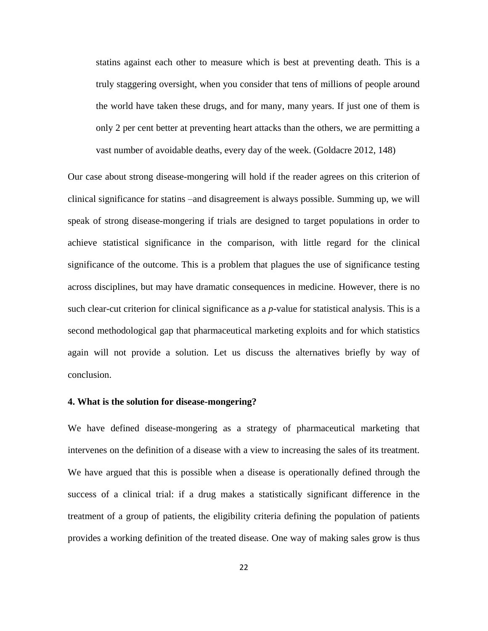statins against each other to measure which is best at preventing death. This is a truly staggering oversight, when you consider that tens of millions of people around the world have taken these drugs, and for many, many years. If just one of them is only 2 per cent better at preventing heart attacks than the others, we are permitting a vast number of avoidable deaths, every day of the week. (Goldacre 2012, 148)

Our case about strong disease-mongering will hold if the reader agrees on this criterion of clinical significance for statins –and disagreement is always possible. Summing up, we will speak of strong disease-mongering if trials are designed to target populations in order to achieve statistical significance in the comparison, with little regard for the clinical significance of the outcome. This is a problem that plagues the use of significance testing across disciplines, but may have dramatic consequences in medicine. However, there is no such clear-cut criterion for clinical significance as a *p*-value for statistical analysis. This is a second methodological gap that pharmaceutical marketing exploits and for which statistics again will not provide a solution. Let us discuss the alternatives briefly by way of conclusion.

#### **4. What is the solution for disease-mongering?**

We have defined disease-mongering as a strategy of pharmaceutical marketing that intervenes on the definition of a disease with a view to increasing the sales of its treatment. We have argued that this is possible when a disease is operationally defined through the success of a clinical trial: if a drug makes a statistically significant difference in the treatment of a group of patients, the eligibility criteria defining the population of patients provides a working definition of the treated disease. One way of making sales grow is thus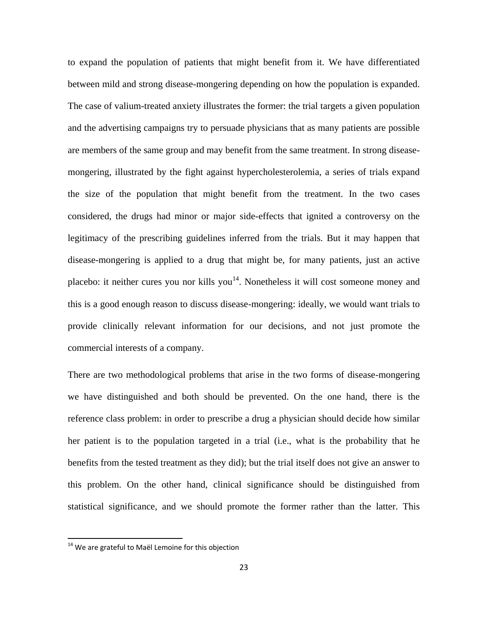to expand the population of patients that might benefit from it. We have differentiated between mild and strong disease-mongering depending on how the population is expanded. The case of valium-treated anxiety illustrates the former: the trial targets a given population and the advertising campaigns try to persuade physicians that as many patients are possible are members of the same group and may benefit from the same treatment. In strong diseasemongering, illustrated by the fight against hypercholesterolemia, a series of trials expand the size of the population that might benefit from the treatment. In the two cases considered, the drugs had minor or major side-effects that ignited a controversy on the legitimacy of the prescribing guidelines inferred from the trials. But it may happen that disease-mongering is applied to a drug that might be, for many patients, just an active placebo: it neither cures you nor kills you<sup>14</sup>. Nonetheless it will cost someone money and this is a good enough reason to discuss disease-mongering: ideally, we would want trials to provide clinically relevant information for our decisions, and not just promote the commercial interests of a company.

There are two methodological problems that arise in the two forms of disease-mongering we have distinguished and both should be prevented. On the one hand, there is the reference class problem: in order to prescribe a drug a physician should decide how similar her patient is to the population targeted in a trial (i.e., what is the probability that he benefits from the tested treatment as they did); but the trial itself does not give an answer to this problem. On the other hand, clinical significance should be distinguished from statistical significance, and we should promote the former rather than the latter. This

<sup>&</sup>lt;sup>14</sup> We are grateful to Maël Lemoine for this objection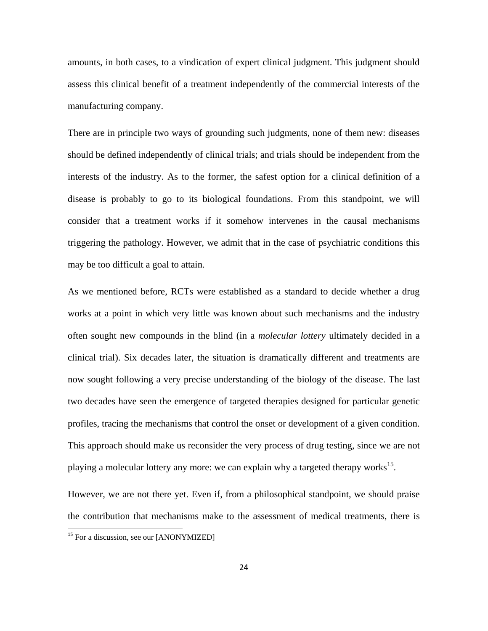amounts, in both cases, to a vindication of expert clinical judgment. This judgment should assess this clinical benefit of a treatment independently of the commercial interests of the manufacturing company.

There are in principle two ways of grounding such judgments, none of them new: diseases should be defined independently of clinical trials; and trials should be independent from the interests of the industry. As to the former, the safest option for a clinical definition of a disease is probably to go to its biological foundations. From this standpoint, we will consider that a treatment works if it somehow intervenes in the causal mechanisms triggering the pathology. However, we admit that in the case of psychiatric conditions this may be too difficult a goal to attain.

As we mentioned before, RCTs were established as a standard to decide whether a drug works at a point in which very little was known about such mechanisms and the industry often sought new compounds in the blind (in a *molecular lottery* ultimately decided in a clinical trial). Six decades later, the situation is dramatically different and treatments are now sought following a very precise understanding of the biology of the disease. The last two decades have seen the emergence of targeted therapies designed for particular genetic profiles, tracing the mechanisms that control the onset or development of a given condition. This approach should make us reconsider the very process of drug testing, since we are not playing a molecular lottery any more: we can explain why a targeted therapy works<sup>15</sup>.

However, we are not there yet. Even if, from a philosophical standpoint, we should praise the contribution that mechanisms make to the assessment of medical treatments, there is

<sup>&</sup>lt;sup>15</sup> For a discussion, see our [ANONYMIZED]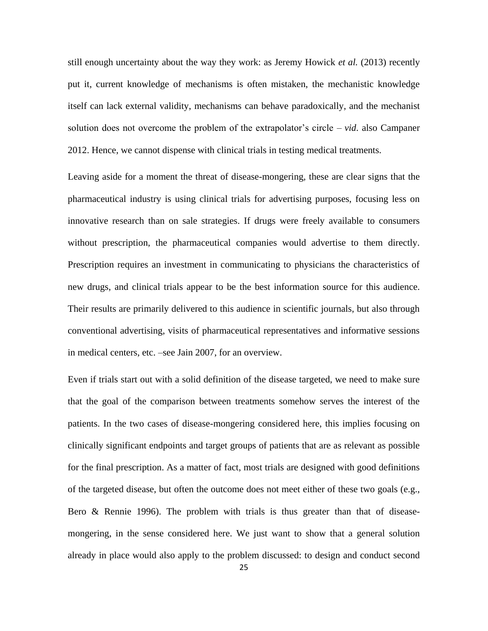still enough uncertainty about the way they work: as Jeremy Howick *et al.* (2013) recently put it, current knowledge of mechanisms is often mistaken, the mechanistic knowledge itself can lack external validity, mechanisms can behave paradoxically, and the mechanist solution does not overcome the problem of the extrapolator's circle – *vid*. also Campaner 2012. Hence, we cannot dispense with clinical trials in testing medical treatments.

Leaving aside for a moment the threat of disease-mongering, these are clear signs that the pharmaceutical industry is using clinical trials for advertising purposes, focusing less on innovative research than on sale strategies. If drugs were freely available to consumers without prescription, the pharmaceutical companies would advertise to them directly. Prescription requires an investment in communicating to physicians the characteristics of new drugs, and clinical trials appear to be the best information source for this audience. Their results are primarily delivered to this audience in scientific journals, but also through conventional advertising, visits of pharmaceutical representatives and informative sessions in medical centers, etc. –see Jain 2007, for an overview.

Even if trials start out with a solid definition of the disease targeted, we need to make sure that the goal of the comparison between treatments somehow serves the interest of the patients. In the two cases of disease-mongering considered here, this implies focusing on clinically significant endpoints and target groups of patients that are as relevant as possible for the final prescription. As a matter of fact, most trials are designed with good definitions of the targeted disease, but often the outcome does not meet either of these two goals (e.g., Bero & Rennie 1996). The problem with trials is thus greater than that of diseasemongering, in the sense considered here. We just want to show that a general solution already in place would also apply to the problem discussed: to design and conduct second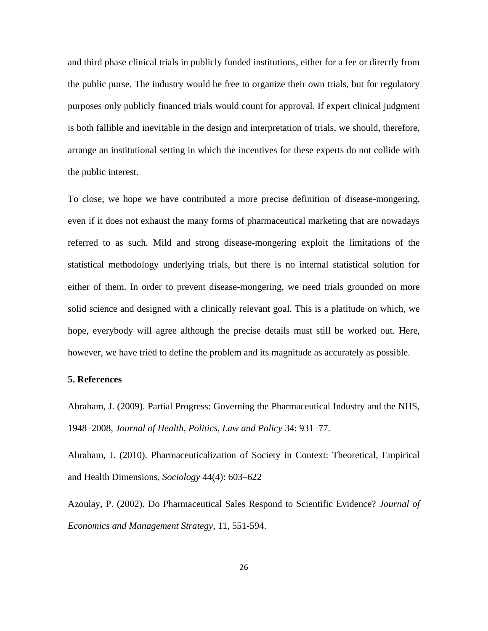and third phase clinical trials in publicly funded institutions, either for a fee or directly from the public purse. The industry would be free to organize their own trials, but for regulatory purposes only publicly financed trials would count for approval. If expert clinical judgment is both fallible and inevitable in the design and interpretation of trials, we should, therefore, arrange an institutional setting in which the incentives for these experts do not collide with the public interest.

To close, we hope we have contributed a more precise definition of disease-mongering, even if it does not exhaust the many forms of pharmaceutical marketing that are nowadays referred to as such. Mild and strong disease-mongering exploit the limitations of the statistical methodology underlying trials, but there is no internal statistical solution for either of them. In order to prevent disease-mongering, we need trials grounded on more solid science and designed with a clinically relevant goal. This is a platitude on which, we hope, everybody will agree although the precise details must still be worked out. Here, however, we have tried to define the problem and its magnitude as accurately as possible.

## **5. References**

Abraham, J. (2009). Partial Progress: Governing the Pharmaceutical Industry and the NHS, 1948–2008, *Journal of Health, Politics, Law and Policy* 34: 931–77.

Abraham, J. (2010). Pharmaceuticalization of Society in Context: Theoretical, Empirical and Health Dimensions, *Sociology* 44(4): 603–622

Azoulay, P. (2002). Do Pharmaceutical Sales Respond to Scientific Evidence? *Journal of Economics and Management Strategy*, 11, 551-594.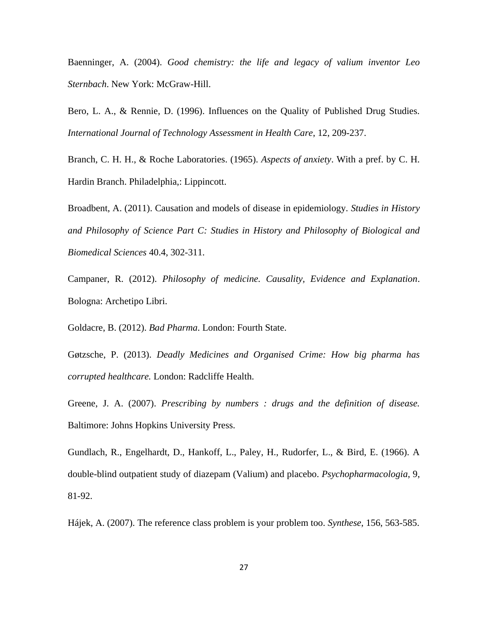Baenninger, A. (2004). *Good chemistry: the life and legacy of valium inventor Leo Sternbach*. New York: McGraw-Hill.

Bero, L. A., & Rennie, D. (1996). Influences on the Quality of Published Drug Studies. *International Journal of Technology Assessment in Health Care*, 12, 209-237.

Branch, C. H. H., & Roche Laboratories. (1965). *Aspects of anxiety*. With a pref. by C. H. Hardin Branch. Philadelphia,: Lippincott.

Broadbent, A. (2011). Causation and models of disease in epidemiology. *Studies in History and Philosophy of Science Part C: Studies in History and Philosophy of Biological and Biomedical Sciences* 40.4, 302-311.

Campaner, R. (2012). *Philosophy of medicine. Causality, Evidence and Explanation*. Bologna: Archetipo Libri.

Goldacre, B. (2012). *Bad Pharma*. London: Fourth State.

Gøtzsche, P. (2013). *Deadly Medicines and Organised Crime: How big pharma has corrupted healthcare.* London: Radcliffe Health.

Greene, J. A. (2007). *Prescribing by numbers : drugs and the definition of disease.* Baltimore: Johns Hopkins University Press.

Gundlach, R., Engelhardt, D., Hankoff, L., Paley, H., Rudorfer, L., & Bird, E. (1966). A double-blind outpatient study of diazepam (Valium) and placebo. *Psychopharmacologia*, 9, 81-92.

Hájek, A. (2007). The reference class problem is your problem too. *Synthese*, 156, 563-585.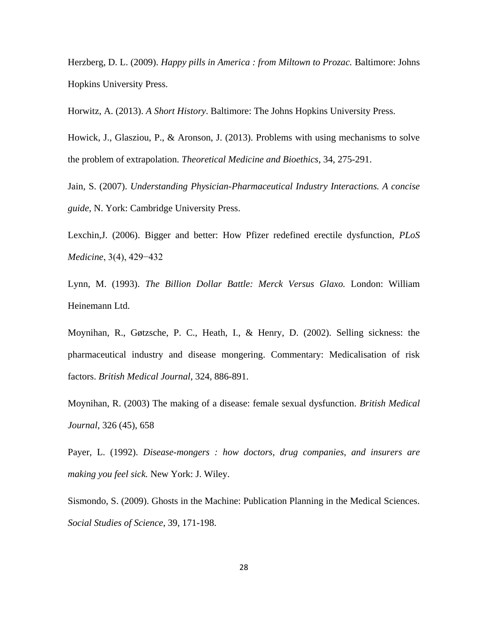Herzberg, D. L. (2009). *Happy pills in America : from Miltown to Prozac.* Baltimore: Johns Hopkins University Press.

Horwitz, A. (2013). *A Short History*. Baltimore: The Johns Hopkins University Press.

Howick, J., Glasziou, P., & Aronson, J. (2013). Problems with using mechanisms to solve the problem of extrapolation. *Theoretical Medicine and Bioethics*, 34, 275-291.

Jain, S. (2007). *Understanding Physician-Pharmaceutical Industry Interactions. A concise guide*, N. York: Cambridge University Press.

Lexchin,J. (2006). Bigger and better: How Pfizer redefined erectile dysfunction, *PLoS Medicine*, 3(4), 429−432

Lynn, M. (1993). *The Billion Dollar Battle: Merck Versus Glaxo.* London: William Heinemann Ltd.

Moynihan, R., Gøtzsche, P. C., Heath, I., & Henry, D. (2002). Selling sickness: the pharmaceutical industry and disease mongering. Commentary: Medicalisation of risk factors. *British Medical Journal*, 324, 886-891.

Moynihan, R. (2003) The making of a disease: female sexual dysfunction. *British Medical Journal*, 326 (45), 658

Payer, L. (1992). *Disease-mongers : how doctors, drug companies, and insurers are making you feel sick.* New York: J. Wiley.

Sismondo, S. (2009). Ghosts in the Machine: Publication Planning in the Medical Sciences. *Social Studies of Science*, 39, 171-198.